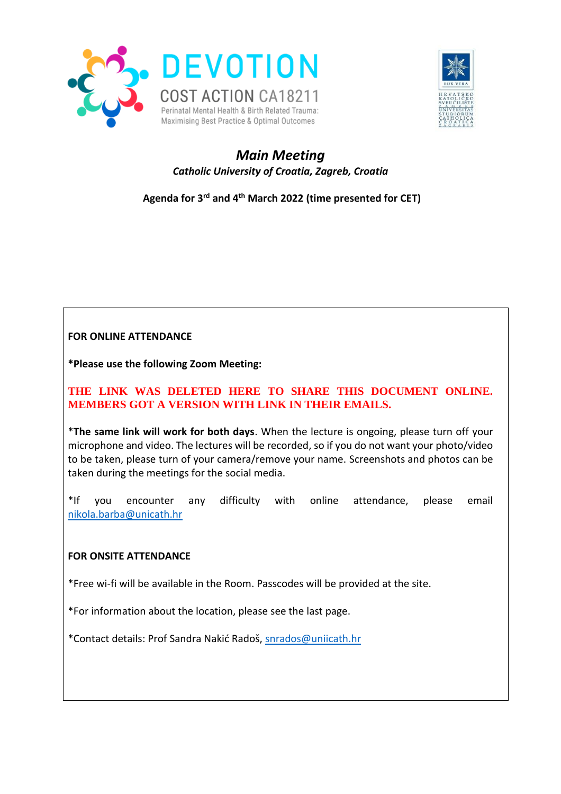



# *Main Meeting Catholic University of Croatia, Zagreb, Croatia*

**Agenda for 3 rd and 4 th March 2022 (time presented for CET)**

## **FOR ONLINE ATTENDANCE**

**\*Please use the following Zoom Meeting:**

### **THE LINK WAS DELETED HERE TO SHARE THIS DOCUMENT ONLINE. MEMBERS GOT A VERSION WITH LINK IN THEIR EMAILS.**

\***The same link will work for both days**. When the lecture is ongoing, please turn off your microphone and video. The lectures will be recorded, so if you do not want your photo/video to be taken, please turn of your camera/remove your name. Screenshots and photos can be taken during the meetings for the social media.

\*If you encounter any difficulty with online attendance, please email [nikola.barba@unicath.hr](mailto:nikola.barba@unicath.hr)

#### **FOR ONSITE ATTENDANCE**

\*Free wi-fi will be available in the Room. Passcodes will be provided at the site.

\*For information about the location, please see the last page.

\*Contact details: Prof Sandra Nakić Radoš, [snrados@uniicath.hr](mailto:snrados@uniicath.hr)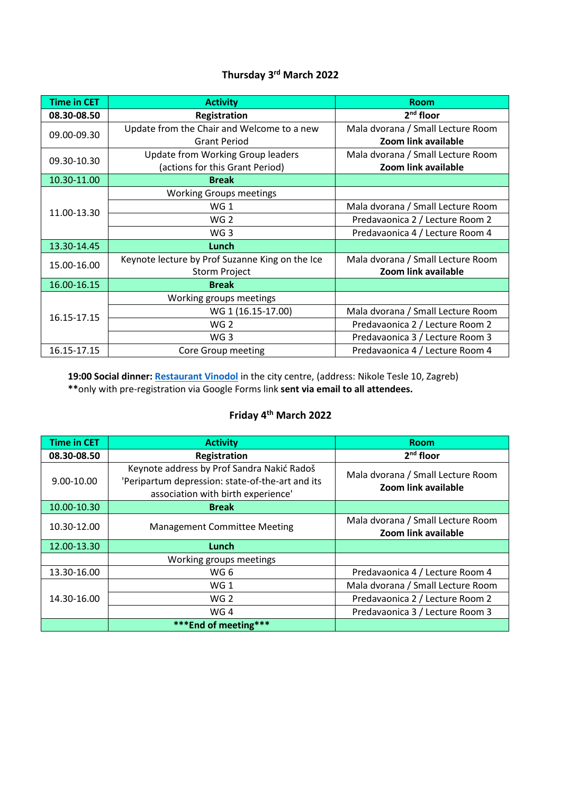## **Thursday 3 rd March 2022**

| <b>Time in CET</b> | <b>Activity</b>                                 | <b>Room</b>                       |
|--------------------|-------------------------------------------------|-----------------------------------|
| 08.30-08.50        | Registration                                    | 2 <sup>nd</sup> floor             |
| 09.00-09.30        | Update from the Chair and Welcome to a new      | Mala dvorana / Small Lecture Room |
|                    | <b>Grant Period</b>                             | Zoom link available               |
| 09.30-10.30        | <b>Update from Working Group leaders</b>        | Mala dvorana / Small Lecture Room |
|                    | (actions for this Grant Period)                 | Zoom link available               |
| 10.30-11.00        | <b>Break</b>                                    |                                   |
| 11.00-13.30        | <b>Working Groups meetings</b>                  |                                   |
|                    | WG <sub>1</sub>                                 | Mala dvorana / Small Lecture Room |
|                    | WG <sub>2</sub>                                 | Predavaonica 2 / Lecture Room 2   |
|                    | WG <sub>3</sub>                                 | Predavaonica 4 / Lecture Room 4   |
| 13.30-14.45        | Lunch                                           |                                   |
| 15.00-16.00        | Keynote lecture by Prof Suzanne King on the Ice | Mala dvorana / Small Lecture Room |
|                    | <b>Storm Project</b>                            | Zoom link available               |
| 16.00-16.15        | <b>Break</b>                                    |                                   |
| 16.15-17.15        | Working groups meetings                         |                                   |
|                    | WG 1 (16.15-17.00)                              | Mala dvorana / Small Lecture Room |
|                    | WG <sub>2</sub>                                 | Predavaonica 2 / Lecture Room 2   |
|                    | WG <sub>3</sub>                                 | Predavaonica 3 / Lecture Room 3   |
| 16.15-17.15        | Core Group meeting                              | Predavaonica 4 / Lecture Room 4   |

**19:00 Social dinner: [Restaurant Vinodol](https://vinodol-zg.hr/en/)** in the city centre, (address: Nikole Tesle 10, Zagreb) **\*\***only with pre-registration via Google Forms link **sent via email to all attendees.**

#### **Friday 4 th March 2022**

| <b>Time in CET</b> | <b>Activity</b>                                                                                                                      | <b>Room</b>                                              |
|--------------------|--------------------------------------------------------------------------------------------------------------------------------------|----------------------------------------------------------|
| 08.30-08.50        | Registration                                                                                                                         | $2nd$ floor                                              |
| 9.00-10.00         | Keynote address by Prof Sandra Nakić Radoš<br>'Peripartum depression: state-of-the-art and its<br>association with birth experience' | Mala dvorana / Small Lecture Room<br>Zoom link available |
| 10.00-10.30        | <b>Break</b>                                                                                                                         |                                                          |
| 10.30-12.00        | <b>Management Committee Meeting</b>                                                                                                  | Mala dvorana / Small Lecture Room<br>Zoom link available |
| 12.00-13.30        | Lunch                                                                                                                                |                                                          |
|                    | Working groups meetings                                                                                                              |                                                          |
| 13.30-16.00        | WG 6                                                                                                                                 | Predavaonica 4 / Lecture Room 4                          |
| 14.30-16.00        | WG <sub>1</sub>                                                                                                                      | Mala dvorana / Small Lecture Room                        |
|                    | WG <sub>2</sub>                                                                                                                      | Predavaonica 2 / Lecture Room 2                          |
|                    | WG4                                                                                                                                  | Predavaonica 3 / Lecture Room 3                          |
|                    | *** End of meeting***                                                                                                                |                                                          |